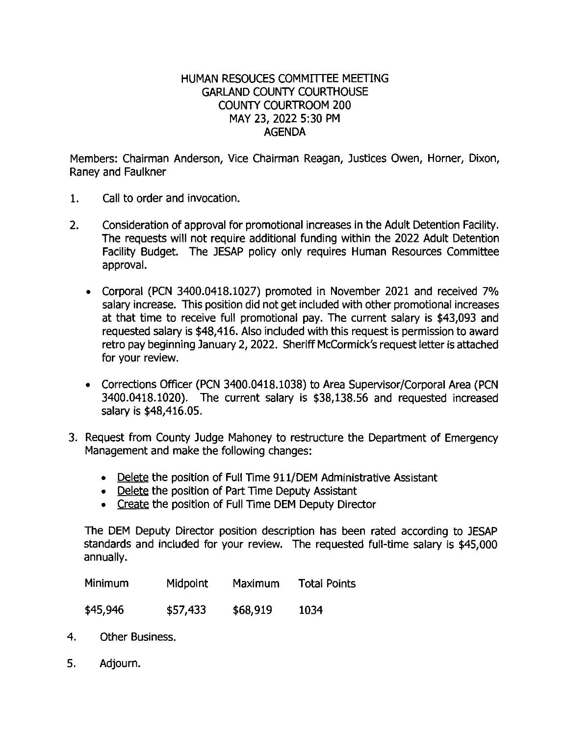# HUMAN RESOUCES COMMITTEE MEETING **GARLAND COUNTY COURTHOUSE** COUNTY COURTROOM 200 MAY 23, 2022 5:30 PM AGENDA

Members: Chairman Anderson, Vice Chairman Reagan, Justices Owen, Horner, Dixon, Raney and Faulkner

- 1. Call to order and invocation.
- 2. Consideration of approval for promotional increases in the Adult Detention Facility. The requests will not require additional funding within the 2022 Adult Detention Facility Budget. The JESAP policy only requires Human Resources Committee approval.
	- Corporal (PCN 3400.0418.1027) promoted in November 2021 and received 7% salary increase. This position did not get included with other promotional increases at that time to receive full promotional pay. The current salary is \$43,093 and requested salary is \$48,416. Also included with this request is permission to award retro pay beginning January 2, 2022. Sheriff McCormick's request letter is attached for your review.
	- Corrections Officer (PCN 3400.0418.1038) to Area Supervisor/Corporal Area (PCN 3400.0418.1020). The current salary is \$38,138.56 and requested increased salary is \$48,416.05.
- 3. Request from County Judge Mahoney to restructure the Department of Emergency Management and make the following changes:
	- Delete the position of Full Time 911/DEM Administrative Assistant
	- Delete the position of Part Time Deputy Assistant
	- Create the position of Full Time DEM Deputy Director

The DEM Deputy Director position description has been rated according to JESAP standards and included for your review. The requested full-time salary is \$45,000 annually.

| Minimum<br>Midpoint | Maximum | <b>Total Points</b> |
|---------------------|---------|---------------------|
|---------------------|---------|---------------------|

| \$45,946 | \$57,433 | \$68,919 | 1034 |
|----------|----------|----------|------|
|----------|----------|----------|------|

- 4. Other Business.
- 5. Adjourn.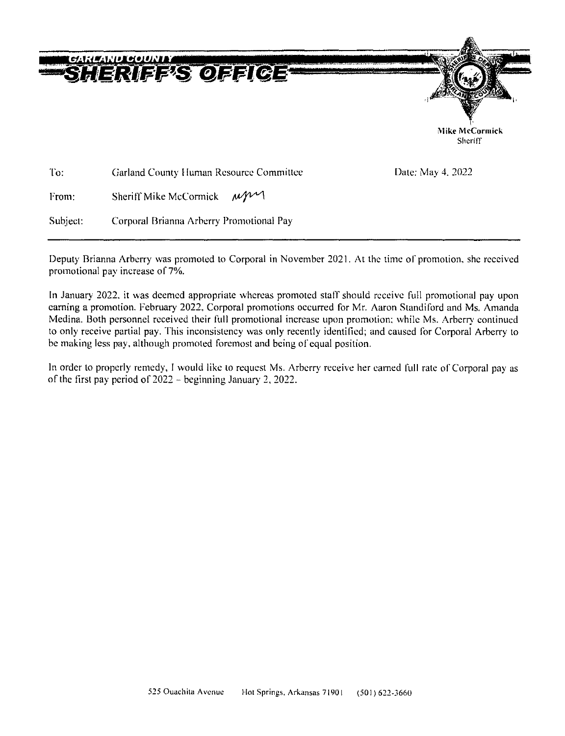

To: Garland County Human Resource Committee Date: May 4. 2022

From: Sheriff Mike McCormick  $\mu$ M

Subject: Corporal Brianna Arhcrry Promotional Pay

Deputy Brianna Arberry was promoted to Corporal in November 2021. At the time of promotion, she received promotional pay increase of 7%.

In January 2022. it was deemed appropriate whereas promoted staff should receive full promotional pay upon earning a promotion. February 2022. Corporal promotions occurred for Mr. Aaron Standiford and Ms. Amanda Medina. Both personnel received their full promotional increase upon promotion; while Ms. Arbcrry continued to only receive partial pay. This inconsistency was only recently identified; and caused for Corporal Arherry to he making less pay. although promoted foremost and being of equal position.

In order to properly remedy, I would like to request Ms. Arberry receive her earned full rate of Corporal pay as of the first pay period of  $2022$  – beginning January 2, 2022.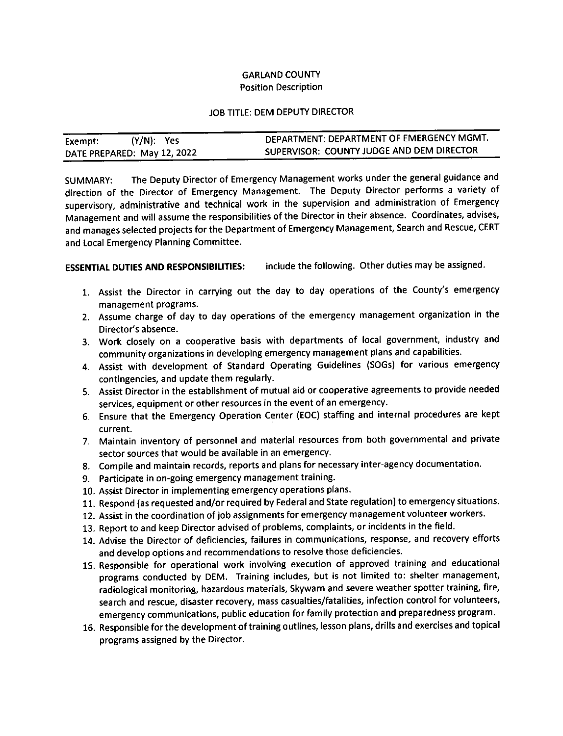## GARLAND COUNTY Position Description

# JOB TITLE: DEM DEPUTY DIRECTOR

| $(Y/N)$ : Yes<br>Exempt:    | DEPARTMENT: DEPARTMENT OF EMERGENCY MGMT. |
|-----------------------------|-------------------------------------------|
| DATE PREPARED: May 12, 2022 | SUPERVISOR: COUNTY JUDGE AND DEM DIRECTOR |

SUMMARY: The Deputy Director of Emergency Management works under the general guidance and direction of the Director of Emergency Management. The Deputy Director performs a variety of supervisory, administrative and technical work in the supervision and administration of Emergency Management and will assume the responsibilities of the Director in their absence. Coordinates, advises, and manages selected projects for the Department of Emergency Management, Search and Rescue, CERT and Local Emergency Planning Committee.

#### **ESSENTIAL DUTIES AND RESPONSIBILITIES:** include the following. Other duties may be assigned.

- 1. Assist the Director in carrying out the day to day operations of the County's emergency management programs.
- 2. Assume charge of day to day operations of the emergency management organization in the Director's absence.
- 3. Work closely on a cooperative basis with departments of local government, industry and community organizations in developing emergency management plans and capabilities.
- 4. Assist with development of Standard Operating Guidelines (SOGs) for various emergency contingencies, and update them regularly.
- 5. Assist Director in the establishment of mutual aid or cooperative agreements to provide needed services, equipment or other resources in the event of an emergency.
- 6. Ensure that the Emergency Operation Center (EOC) staffing and internal procedures are kept current.
- 7. Maintain inventory of personnel and material resources from both governmental and private sector sources that would be available in an emergency.
- 8. Compile and maintain records, reports and plans for necessary inter-agency documentation.
- 9. Participate in on-going emergency management training.
- 10. Assist Director in implementing emergency operations plans.
- 11. Respond (as requested and/or required by Federal and State regulation) to emergency situations.
- 12. Assist in the coordination of job assignments for emergency management volunteer workers.
- 13. Report to and keep Director advised of problems, complaints, or incidents in the field.
- 14. Advise the Director of deficiencies, failures in communications, response, and recovery efforts and develop options and recommendations to resolve those deficiencies.
- 15. Responsible for operational work involving execution of approved training and educational programs conducted by DEM. Training includes, but is not limited to: shelter management, radiological monitoring, hazardous materials, Skywarn and severe weather spotter training, fire, search and rescue, disaster recovery, mass casualties/fatalities, infection control for volunteers, emergency communications, public education for family protection and preparedness program.
- 16. Responsible for the development of training outlines, lesson plans, drills and exercises and topical programs assigned by the Director.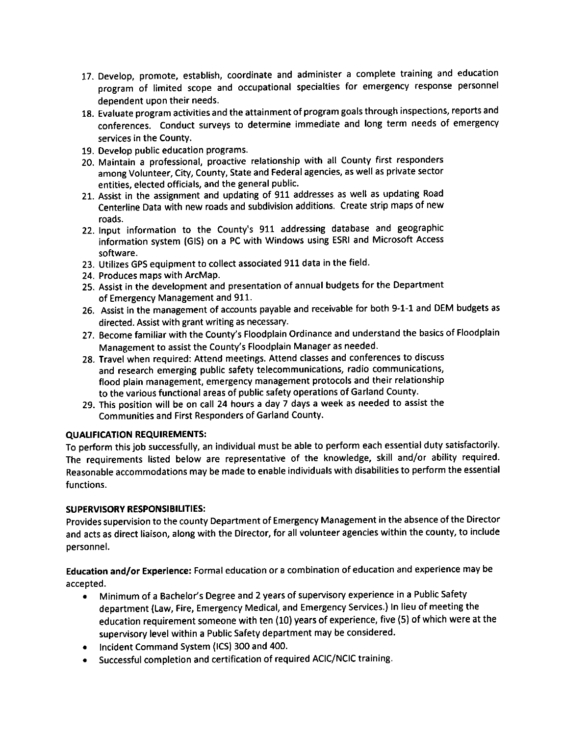- 17. Develop, promote, establish, coordinate and administer a complete training and education program of limited scope and occupational specialties for emergency response personnel dependent upon their needs.
- 18. Evaluate program activities and the attainment of program goals through inspections, reports and conferences. Conduct surveys to determine immediate and long term needs of emergency services in the County.
- 19. Develop public education programs.
- 20. Maintain a professional, proactive relationship with all County first responders among Volunteer, City, County, State and Federal agencies, as well as private sector entities, elected officials, and the general public.
- 21. Assist in the assignment and updating of 911 addresses as well as updating Road Centerline Data with new roads and subdivision additions. Create strip maps of new roads.
- 22. Input information to the County's 911 addressing database and geographic information system (GIS) on a PC with Windows using ESRI and Microsoft Access software.
- 23. Utilizes GPS equipment to collect associated 911 data in the field.
- 24. Produces maps with ArcMap.
- 25. Assist in the development and presentation of annual budgets for the Department of Emergency Management and 911.
- 26. Assist in the management of accounts payable and receivable for both 9-1-1 and DEM budgets as directed. Assist with grant writing as necessary.
- 27. Become familiar with the County's Floodplain Ordinance and understand the basics of Floodplain Management to assist the County's Floodplain Manager as needed.
- 28. Travel when required: Attend meetings. Attend classes and conferences to discuss and research emerging public safety telecommunications, radio communications, flood plain management, emergency management protocols and their relationship to the various functional areas of public safety operations of Garland County.
- 29. This position will be on call 24 hours a day 7 days a week as needed to assist the Communities and First Responders of Garland County.

# **QUALIFICATION REQUIREMENTS:**

To perform this job successfully, an individual must be able to perform each essential duty satisfactorily. The requirements listed below are representative of the knowledge, skill and/or ability required. Reasonable accommodations may be made to enable individuals with disabilities to perform the essential functions.

# **SUPERVISORY RESPONSIBILITIES:**

Provides supervision to the county Department of Emergency Management in the absence of the Director and acts as direct liaison, along with the Director, for all volunteer agencies within the county, to include personnel.

**Education and/or Experience:** Formal education or a combination of education and experience may be accepted.

- Minimum of a Bachelor's Degree and 2 years of supervisory experience in a Public Safety department (Law, Fire, Emergency Medical, and Emergency Services.) In lieu of meeting the education requirement someone with ten (10) years of experience, five (5) of which were at the supervisory level within a Public Safety department may be considered.
- Incident Command System (ICS) 300 and 400.
- Successful completion and certification of required ACIC/NCIC training.